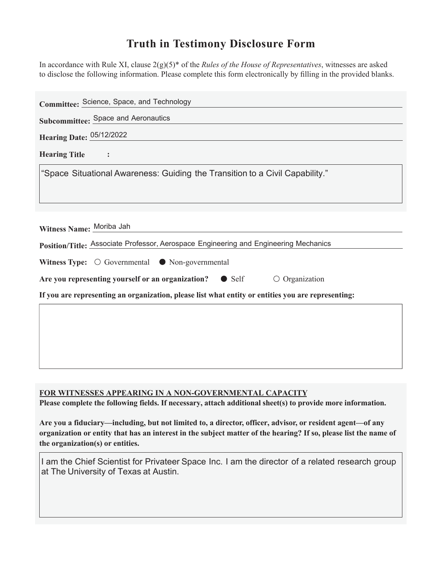## **Truth in Testimony Disclosure Form**

In accordance with Rule XI, clause 2(g)(5)\* of the *Rules of the House of Representatives*, witnesses are asked to disclose the following information. Please complete this form electronically by filling in the provided blanks.

| Committee: Science, Space, and Technology                                                                        |
|------------------------------------------------------------------------------------------------------------------|
| Subcommittee: Space and Aeronautics                                                                              |
| <b>Hearing Date: 05/12/2022</b>                                                                                  |
| <b>Hearing Title</b>                                                                                             |
| "Space Situational Awareness: Guiding the Transition to a Civil Capability."                                     |
| Witness Name: Moriba Jah<br>Position/Title: Associate Professor, Aerospace Engineering and Engineering Mechanics |
| Witness Type: $\bigcirc$ Governmental $\bullet$ Non-governmental                                                 |
| Are you representing yourself or an organization?<br>$\bullet$ Self<br>$\circ$ Organization                      |
| If you are representing an organization, please list what entity or entities you are representing:               |
|                                                                                                                  |
|                                                                                                                  |

**FOR WITNESSES APPEARING IN A NON-GOVERNMENTAL CAPACITY** 

Please complete the following fields. If necessary, attach additional sheet(s) to provide more information.

Are you a fiduciary—including, but not limited to, a director, officer, advisor, or resident agent—of any organization or entity that has an interest in the subject matter of the hearing? If so, please list the name of **the organization(s) or entities.**

I am the Chief Scientist for Privateer Space Inc. I am the director of a related research group at The University of Texas at Austin.